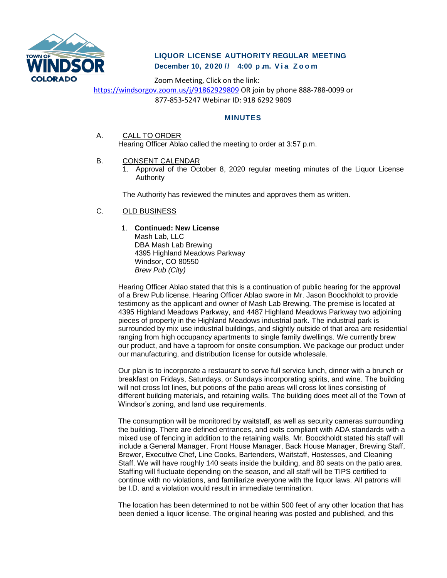

# **LIQUOR LICENSE AUTHORITY REGULAR MEETING December 10, 2020 // 4:00 p . m. V i a Z o o m**

Zoom Meeting, Click on the link: <https://windsorgov.zoom.us/j/91862929809> OR join by phone 888-788-0099 or 877-853-5247 Webinar ID: 918 6292 9809

## **MINUTES**

A. CALL TO ORDER

Hearing Officer Ablao called the meeting to order at 3:57 p.m.

- B. CONSENT CALENDAR
	- 1. Approval of the October 8, 2020 regular meeting minutes of the Liquor License Authority

The Authority has reviewed the minutes and approves them as written.

C. OLD BUSINESS

## 1. **Continued: New License**

Mash Lab, LLC DBA Mash Lab Brewing 4395 Highland Meadows Parkway Windsor, CO 80550 *Brew Pub (City)*

Hearing Officer Ablao stated that this is a continuation of public hearing for the approval of a Brew Pub license. Hearing Officer Ablao swore in Mr. Jason Boockholdt to provide testimony as the applicant and owner of Mash Lab Brewing. The premise is located at 4395 Highland Meadows Parkway, and 4487 Highland Meadows Parkway two adjoining pieces of property in the Highland Meadows industrial park. The industrial park is surrounded by mix use industrial buildings, and slightly outside of that area are residential ranging from high occupancy apartments to single family dwellings. We currently brew our product, and have a taproom for onsite consumption. We package our product under our manufacturing, and distribution license for outside wholesale.

Our plan is to incorporate a restaurant to serve full service lunch, dinner with a brunch or breakfast on Fridays, Saturdays, or Sundays incorporating spirits, and wine. The building will not cross lot lines, but potions of the patio areas will cross lot lines consisting of different building materials, and retaining walls. The building does meet all of the Town of Windsor's zoning, and land use requirements.

The consumption will be monitored by waitstaff, as well as security cameras surrounding the building. There are defined entrances, and exits compliant with ADA standards with a mixed use of fencing in addition to the retaining walls. Mr. Boockholdt stated his staff will include a General Manager, Front House Manager, Back House Manager, Brewing Staff, Brewer, Executive Chef, Line Cooks, Bartenders, Waitstaff, Hostesses, and Cleaning Staff. We will have roughly 140 seats inside the building, and 80 seats on the patio area. Staffing will fluctuate depending on the season, and all staff will be TIPS certified to continue with no violations, and familiarize everyone with the liquor laws. All patrons will be I.D. and a violation would result in immediate termination.

The location has been determined to not be within 500 feet of any other location that has been denied a liquor license. The original hearing was posted and published, and this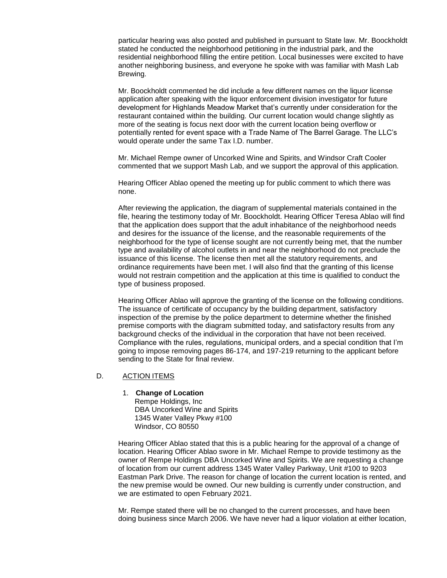particular hearing was also posted and published in pursuant to State law. Mr. Boockholdt stated he conducted the neighborhood petitioning in the industrial park, and the residential neighborhood filling the entire petition. Local businesses were excited to have another neighboring business, and everyone he spoke with was familiar with Mash Lab Brewing.

Mr. Boockholdt commented he did include a few different names on the liquor license application after speaking with the liquor enforcement division investigator for future development for Highlands Meadow Market that's currently under consideration for the restaurant contained within the building. Our current location would change slightly as more of the seating is focus next door with the current location being overflow or potentially rented for event space with a Trade Name of The Barrel Garage. The LLC's would operate under the same Tax I.D. number.

Mr. Michael Rempe owner of Uncorked Wine and Spirits, and Windsor Craft Cooler commented that we support Mash Lab, and we support the approval of this application.

Hearing Officer Ablao opened the meeting up for public comment to which there was none.

After reviewing the application, the diagram of supplemental materials contained in the file, hearing the testimony today of Mr. Boockholdt. Hearing Officer Teresa Ablao will find that the application does support that the adult inhabitance of the neighborhood needs and desires for the issuance of the license, and the reasonable requirements of the neighborhood for the type of license sought are not currently being met, that the number type and availability of alcohol outlets in and near the neighborhood do not preclude the issuance of this license. The license then met all the statutory requirements, and ordinance requirements have been met. I will also find that the granting of this license would not restrain competition and the application at this time is qualified to conduct the type of business proposed.

Hearing Officer Ablao will approve the granting of the license on the following conditions. The issuance of certificate of occupancy by the building department, satisfactory inspection of the premise by the police department to determine whether the finished premise comports with the diagram submitted today, and satisfactory results from any background checks of the individual in the corporation that have not been received. Compliance with the rules, regulations, municipal orders, and a special condition that I'm going to impose removing pages 86-174, and 197-219 returning to the applicant before sending to the State for final review.

#### D. ACTION ITEMS

#### 1. **Change of Location**

Rempe Holdings, Inc DBA Uncorked Wine and Spirits 1345 Water Valley Pkwy #100 Windsor, CO 80550

Hearing Officer Ablao stated that this is a public hearing for the approval of a change of location. Hearing Officer Ablao swore in Mr. Michael Rempe to provide testimony as the owner of Rempe Holdings DBA Uncorked Wine and Spirits. We are requesting a change of location from our current address 1345 Water Valley Parkway, Unit #100 to 9203 Eastman Park Drive. The reason for change of location the current location is rented, and the new premise would be owned. Our new building is currently under construction, and we are estimated to open February 2021.

Mr. Rempe stated there will be no changed to the current processes, and have been doing business since March 2006. We have never had a liquor violation at either location,